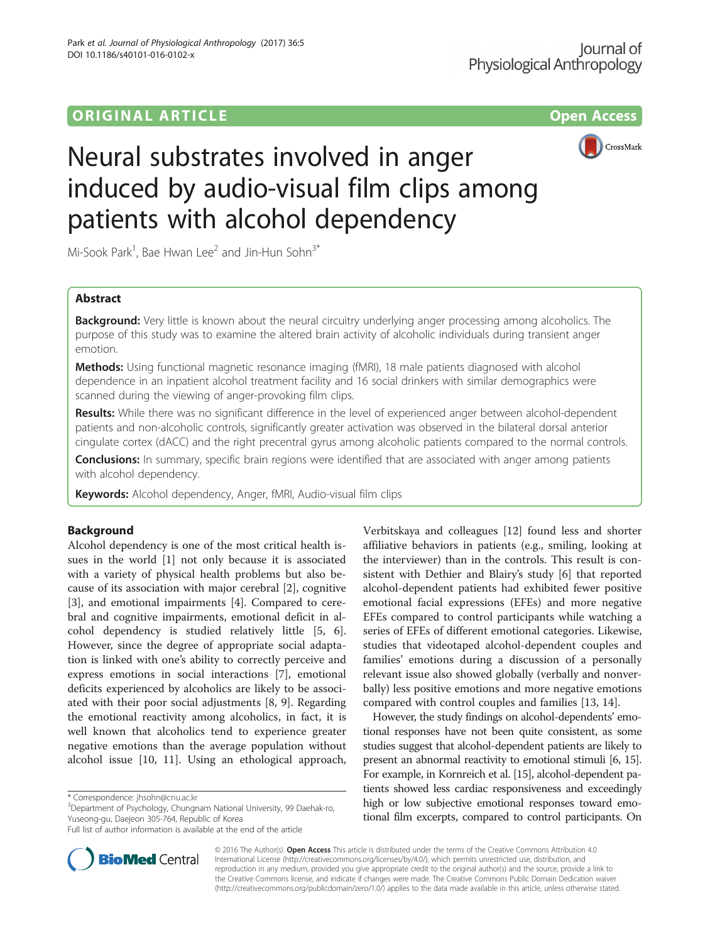

# Neural substrates involved in anger induced by audio-visual film clips among patients with alcohol dependency

Mi-Sook Park<sup>1</sup>, Bae Hwan Lee<sup>2</sup> and Jin-Hun Sohn<sup>3\*</sup>

# Abstract

**Background:** Very little is known about the neural circuitry underlying anger processing among alcoholics. The purpose of this study was to examine the altered brain activity of alcoholic individuals during transient anger emotion.

**Methods:** Using functional magnetic resonance imaging (fMRI), 18 male patients diagnosed with alcohol dependence in an inpatient alcohol treatment facility and 16 social drinkers with similar demographics were scanned during the viewing of anger-provoking film clips.

Results: While there was no significant difference in the level of experienced anger between alcohol-dependent patients and non-alcoholic controls, significantly greater activation was observed in the bilateral dorsal anterior cingulate cortex (dACC) and the right precentral gyrus among alcoholic patients compared to the normal controls.

**Conclusions:** In summary, specific brain regions were identified that are associated with anger among patients with alcohol dependency.

Keywords: Alcohol dependency, Anger, fMRI, Audio-visual film clips

# Background

Alcohol dependency is one of the most critical health issues in the world [\[1](#page-4-0)] not only because it is associated with a variety of physical health problems but also because of its association with major cerebral [\[2](#page-4-0)], cognitive [[3\]](#page-4-0), and emotional impairments [[4\]](#page-5-0). Compared to cerebral and cognitive impairments, emotional deficit in alcohol dependency is studied relatively little [[5, 6](#page-5-0)]. However, since the degree of appropriate social adaptation is linked with one's ability to correctly perceive and express emotions in social interactions [[7\]](#page-5-0), emotional deficits experienced by alcoholics are likely to be associated with their poor social adjustments [\[8](#page-5-0), [9\]](#page-5-0). Regarding the emotional reactivity among alcoholics, in fact, it is well known that alcoholics tend to experience greater negative emotions than the average population without alcohol issue [[10](#page-5-0), [11\]](#page-5-0). Using an ethological approach,

\* Correspondence: [jhsohn@cnu.ac.kr](mailto:jhsohn@cnu.ac.kr) <sup>3</sup>

<sup>3</sup>Department of Psychology, Chungnam National University, 99 Daehak-ro, Yuseong-gu, Daejeon 305-764, Republic of Korea



However, the study findings on alcohol-dependents' emotional responses have not been quite consistent, as some studies suggest that alcohol-dependent patients are likely to present an abnormal reactivity to emotional stimuli [\[6, 15](#page-5-0)]. For example, in Kornreich et al. [[15](#page-5-0)], alcohol-dependent patients showed less cardiac responsiveness and exceedingly high or low subjective emotional responses toward emotional film excerpts, compared to control participants. On



© 2016 The Author(s). Open Access This article is distributed under the terms of the Creative Commons Attribution 4.0 International License [\(http://creativecommons.org/licenses/by/4.0/](http://creativecommons.org/licenses/by/4.0/)), which permits unrestricted use, distribution, and reproduction in any medium, provided you give appropriate credit to the original author(s) and the source, provide a link to the Creative Commons license, and indicate if changes were made. The Creative Commons Public Domain Dedication waiver [\(http://creativecommons.org/publicdomain/zero/1.0/](http://creativecommons.org/publicdomain/zero/1.0/)) applies to the data made available in this article, unless otherwise stated.

Full list of author information is available at the end of the article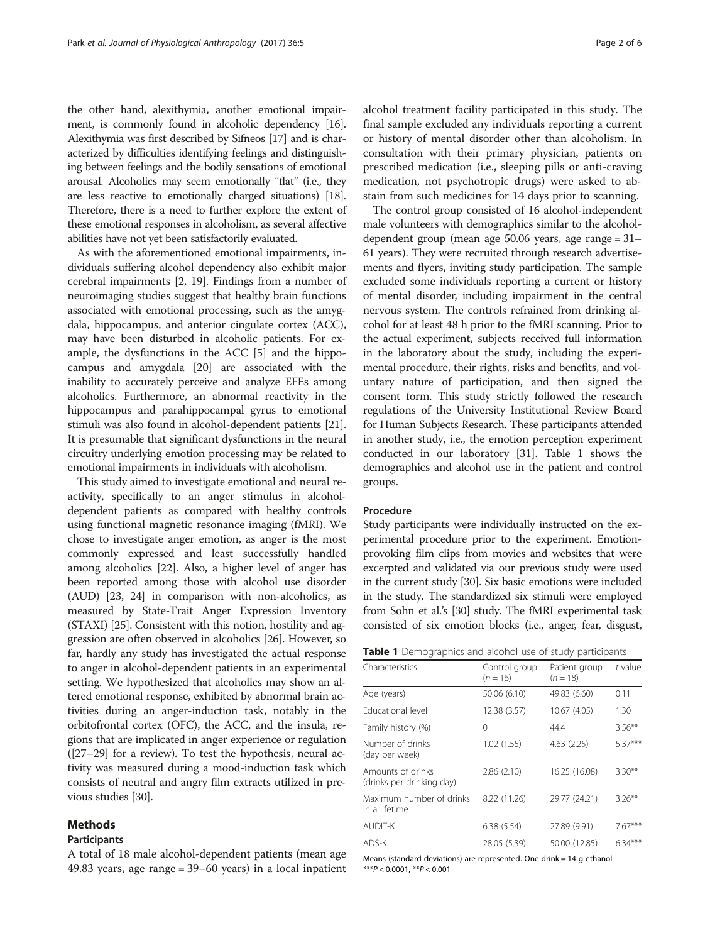the other hand, alexithymia, another emotional impairment, is commonly found in alcoholic dependency [\[16](#page-5-0)]. Alexithymia was first described by Sifneos [\[17\]](#page-5-0) and is characterized by difficulties identifying feelings and distinguishing between feelings and the bodily sensations of emotional arousal. Alcoholics may seem emotionally "flat" (i.e., they are less reactive to emotionally charged situations) [\[18](#page-5-0)]. Therefore, there is a need to further explore the extent of these emotional responses in alcoholism, as several affective abilities have not yet been satisfactorily evaluated.

As with the aforementioned emotional impairments, individuals suffering alcohol dependency also exhibit major cerebral impairments [[2](#page-4-0), [19\]](#page-5-0). Findings from a number of neuroimaging studies suggest that healthy brain functions associated with emotional processing, such as the amygdala, hippocampus, and anterior cingulate cortex (ACC), may have been disturbed in alcoholic patients. For example, the dysfunctions in the ACC [[5](#page-5-0)] and the hippocampus and amygdala [\[20\]](#page-5-0) are associated with the inability to accurately perceive and analyze EFEs among alcoholics. Furthermore, an abnormal reactivity in the hippocampus and parahippocampal gyrus to emotional stimuli was also found in alcohol-dependent patients [[21](#page-5-0)]. It is presumable that significant dysfunctions in the neural circuitry underlying emotion processing may be related to emotional impairments in individuals with alcoholism.

This study aimed to investigate emotional and neural reactivity, specifically to an anger stimulus in alcoholdependent patients as compared with healthy controls using functional magnetic resonance imaging (fMRI). We chose to investigate anger emotion, as anger is the most commonly expressed and least successfully handled among alcoholics [[22\]](#page-5-0). Also, a higher level of anger has been reported among those with alcohol use disorder (AUD) [\[23, 24\]](#page-5-0) in comparison with non-alcoholics, as measured by State-Trait Anger Expression Inventory (STAXI) [\[25\]](#page-5-0). Consistent with this notion, hostility and aggression are often observed in alcoholics [\[26\]](#page-5-0). However, so far, hardly any study has investigated the actual response to anger in alcohol-dependent patients in an experimental setting. We hypothesized that alcoholics may show an altered emotional response, exhibited by abnormal brain activities during an anger-induction task, notably in the orbitofrontal cortex (OFC), the ACC, and the insula, regions that are implicated in anger experience or regulation ([\[27](#page-5-0)–[29\]](#page-5-0) for a review). To test the hypothesis, neural activity was measured during a mood-induction task which consists of neutral and angry film extracts utilized in previous studies [\[30](#page-5-0)].

## Methods

# Participants

A total of 18 male alcohol-dependent patients (mean age 49.83 years, age range = 39–60 years) in a local inpatient alcohol treatment facility participated in this study. The final sample excluded any individuals reporting a current or history of mental disorder other than alcoholism. In consultation with their primary physician, patients on prescribed medication (i.e., sleeping pills or anti-craving medication, not psychotropic drugs) were asked to abstain from such medicines for 14 days prior to scanning.

The control group consisted of 16 alcohol-independent male volunteers with demographics similar to the alcoholdependent group (mean age 50.06 years, age range = 31– 61 years). They were recruited through research advertisements and flyers, inviting study participation. The sample excluded some individuals reporting a current or history of mental disorder, including impairment in the central nervous system. The controls refrained from drinking alcohol for at least 48 h prior to the fMRI scanning. Prior to the actual experiment, subjects received full information in the laboratory about the study, including the experimental procedure, their rights, risks and benefits, and voluntary nature of participation, and then signed the consent form. This study strictly followed the research regulations of the University Institutional Review Board for Human Subjects Research. These participants attended in another study, i.e., the emotion perception experiment conducted in our laboratory [\[31\]](#page-5-0). Table 1 shows the demographics and alcohol use in the patient and control groups.

#### Procedure

Study participants were individually instructed on the experimental procedure prior to the experiment. Emotionprovoking film clips from movies and websites that were excerpted and validated via our previous study were used in the current study [\[30\]](#page-5-0). Six basic emotions were included in the study. The standardized six stimuli were employed from Sohn et al.'s [\[30](#page-5-0)] study. The fMRI experimental task consisted of six emotion blocks (i.e., anger, fear, disgust,

| Table 1 Demographics and alcohol use of study participants |  |  |  |
|------------------------------------------------------------|--|--|--|
|------------------------------------------------------------|--|--|--|

| Characteristics                                | Control group<br>$(n = 16)$ | Patient group<br>$(n = 18)$ | t value   |
|------------------------------------------------|-----------------------------|-----------------------------|-----------|
| Age (years)                                    | 50.06 (6.10)                | 49.83 (6.60)                | 0.11      |
| Educational level                              | 12.38 (3.57)                | 10.67 (4.05)                | 1.30      |
| Family history (%)                             | 0                           | 44.4                        | $3.56***$ |
| Number of drinks<br>(day per week)             | 1.02(1.55)                  | 4.63(2.25)                  | $5.37***$ |
| Amounts of drinks<br>(drinks per drinking day) | 2.86(2.10)                  | 16.25 (16.08)               | $3.30**$  |
| Maximum number of drinks<br>in a lifetime      | 8.22 (11.26)                | 29.77 (24.21)               | $3.26***$ |
| AUDIT-K                                        | 6.38(5.54)                  | 27.89 (9.91)                | $7.67***$ |
| ADS-K                                          | 28.05 (5.39)                | 50.00 (12.85)               | $6.34***$ |

Means (standard deviations) are represented. One drink = 14 g ethanol  $***P < 0.0001, **P < 0.001$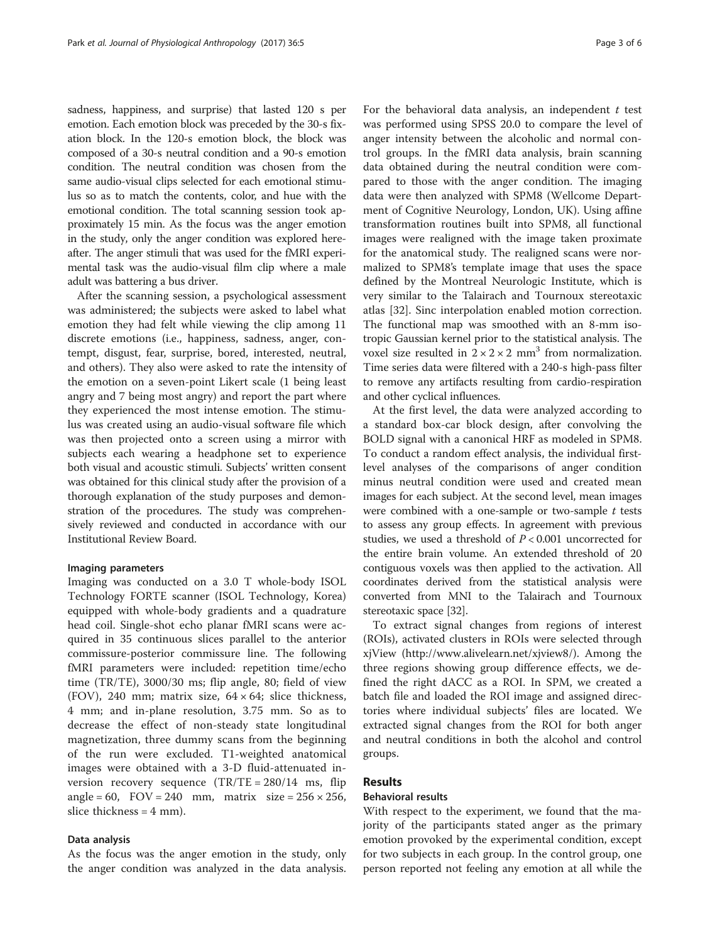sadness, happiness, and surprise) that lasted 120 s per emotion. Each emotion block was preceded by the 30-s fixation block. In the 120-s emotion block, the block was composed of a 30-s neutral condition and a 90-s emotion condition. The neutral condition was chosen from the same audio-visual clips selected for each emotional stimulus so as to match the contents, color, and hue with the emotional condition. The total scanning session took approximately 15 min. As the focus was the anger emotion in the study, only the anger condition was explored hereafter. The anger stimuli that was used for the fMRI experimental task was the audio-visual film clip where a male adult was battering a bus driver.

After the scanning session, a psychological assessment was administered; the subjects were asked to label what emotion they had felt while viewing the clip among 11 discrete emotions (i.e., happiness, sadness, anger, contempt, disgust, fear, surprise, bored, interested, neutral, and others). They also were asked to rate the intensity of the emotion on a seven-point Likert scale (1 being least angry and 7 being most angry) and report the part where they experienced the most intense emotion. The stimulus was created using an audio-visual software file which was then projected onto a screen using a mirror with subjects each wearing a headphone set to experience both visual and acoustic stimuli. Subjects' written consent was obtained for this clinical study after the provision of a thorough explanation of the study purposes and demonstration of the procedures. The study was comprehensively reviewed and conducted in accordance with our Institutional Review Board.

#### Imaging parameters

Imaging was conducted on a 3.0 T whole-body ISOL Technology FORTE scanner (ISOL Technology, Korea) equipped with whole-body gradients and a quadrature head coil. Single-shot echo planar fMRI scans were acquired in 35 continuous slices parallel to the anterior commissure-posterior commissure line. The following fMRI parameters were included: repetition time/echo time (TR/TE), 3000/30 ms; flip angle, 80; field of view (FOV), 240 mm; matrix size,  $64 \times 64$ ; slice thickness, 4 mm; and in-plane resolution, 3.75 mm. So as to decrease the effect of non-steady state longitudinal magnetization, three dummy scans from the beginning of the run were excluded. T1-weighted anatomical images were obtained with a 3-D fluid-attenuated inversion recovery sequence  $(TR/TE = 280/14 \text{ ms}, \text{flip})$ angle = 60,  $FOV = 240$  mm, matrix size =  $256 \times 256$ , slice thickness  $= 4$  mm).

## Data analysis

As the focus was the anger emotion in the study, only the anger condition was analyzed in the data analysis. was performed using SPSS 20.0 to compare the level of anger intensity between the alcoholic and normal control groups. In the fMRI data analysis, brain scanning data obtained during the neutral condition were compared to those with the anger condition. The imaging data were then analyzed with SPM8 (Wellcome Department of Cognitive Neurology, London, UK). Using affine transformation routines built into SPM8, all functional images were realigned with the image taken proximate for the anatomical study. The realigned scans were normalized to SPM8's template image that uses the space defined by the Montreal Neurologic Institute, which is very similar to the Talairach and Tournoux stereotaxic atlas [[32\]](#page-5-0). Sinc interpolation enabled motion correction. The functional map was smoothed with an 8-mm isotropic Gaussian kernel prior to the statistical analysis. The voxel size resulted in  $2 \times 2 \times 2$  mm<sup>3</sup> from normalization. Time series data were filtered with a 240-s high-pass filter to remove any artifacts resulting from cardio-respiration and other cyclical influences.

At the first level, the data were analyzed according to a standard box-car block design, after convolving the BOLD signal with a canonical HRF as modeled in SPM8. To conduct a random effect analysis, the individual firstlevel analyses of the comparisons of anger condition minus neutral condition were used and created mean images for each subject. At the second level, mean images were combined with a one-sample or two-sample  $t$  tests to assess any group effects. In agreement with previous studies, we used a threshold of  $P < 0.001$  uncorrected for the entire brain volume. An extended threshold of 20 contiguous voxels was then applied to the activation. All coordinates derived from the statistical analysis were converted from MNI to the Talairach and Tournoux stereotaxic space [[32](#page-5-0)].

To extract signal changes from regions of interest (ROIs), activated clusters in ROIs were selected through xjView [\(http://www.alivelearn.net/xjview8/\)](http://www.alivelearn.net/xjview8/). Among the three regions showing group difference effects, we defined the right dACC as a ROI. In SPM, we created a batch file and loaded the ROI image and assigned directories where individual subjects' files are located. We extracted signal changes from the ROI for both anger and neutral conditions in both the alcohol and control groups.

## Results

## Behavioral results

With respect to the experiment, we found that the majority of the participants stated anger as the primary emotion provoked by the experimental condition, except for two subjects in each group. In the control group, one person reported not feeling any emotion at all while the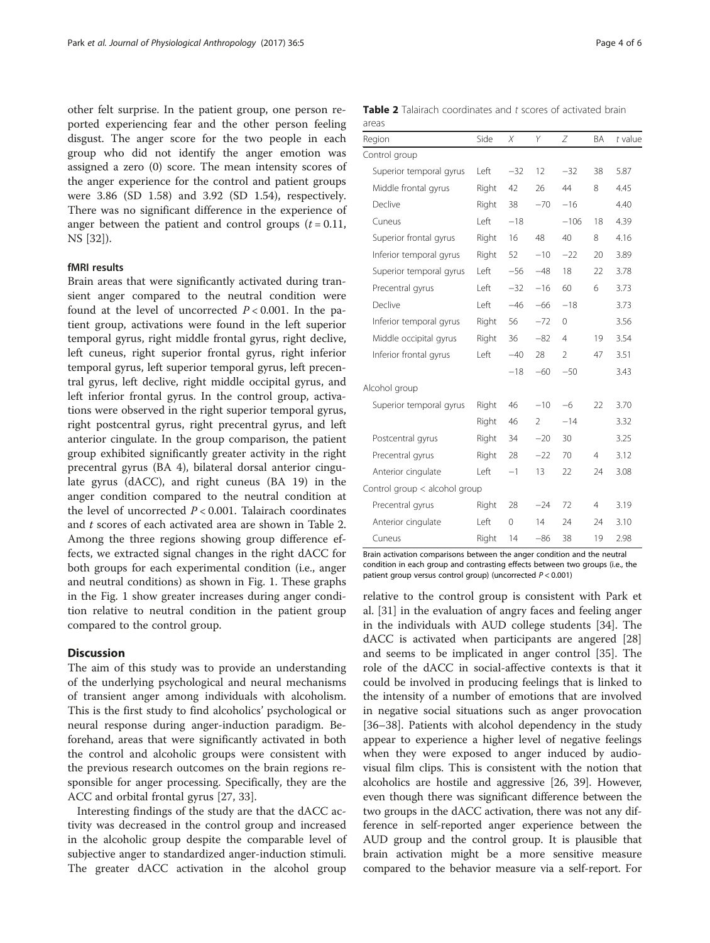other felt surprise. In the patient group, one person reported experiencing fear and the other person feeling disgust. The anger score for the two people in each group who did not identify the anger emotion was assigned a zero (0) score. The mean intensity scores of the anger experience for the control and patient groups were 3.86 (SD 1.58) and 3.92 (SD 1.54), respectively. There was no significant difference in the experience of anger between the patient and control groups  $(t = 0.11,$ NS [\[32](#page-5-0)]).

## fMRI results

Brain areas that were significantly activated during transient anger compared to the neutral condition were found at the level of uncorrected  $P < 0.001$ . In the patient group, activations were found in the left superior temporal gyrus, right middle frontal gyrus, right declive, left cuneus, right superior frontal gyrus, right inferior temporal gyrus, left superior temporal gyrus, left precentral gyrus, left declive, right middle occipital gyrus, and left inferior frontal gyrus. In the control group, activations were observed in the right superior temporal gyrus, right postcentral gyrus, right precentral gyrus, and left anterior cingulate. In the group comparison, the patient group exhibited significantly greater activity in the right precentral gyrus (BA 4), bilateral dorsal anterior cingulate gyrus (dACC), and right cuneus (BA 19) in the anger condition compared to the neutral condition at the level of uncorrected  $P < 0.001$ . Talairach coordinates and t scores of each activated area are shown in Table 2. Among the three regions showing group difference effects, we extracted signal changes in the right dACC for both groups for each experimental condition (i.e., anger and neutral conditions) as shown in Fig. [1.](#page-4-0) These graphs in the Fig. [1](#page-4-0) show greater increases during anger condition relative to neutral condition in the patient group compared to the control group.

## **Discussion**

The aim of this study was to provide an understanding of the underlying psychological and neural mechanisms of transient anger among individuals with alcoholism. This is the first study to find alcoholics' psychological or neural response during anger-induction paradigm. Beforehand, areas that were significantly activated in both the control and alcoholic groups were consistent with the previous research outcomes on the brain regions responsible for anger processing. Specifically, they are the ACC and orbital frontal gyrus [\[27](#page-5-0), [33](#page-5-0)].

Interesting findings of the study are that the dACC activity was decreased in the control group and increased in the alcoholic group despite the comparable level of subjective anger to standardized anger-induction stimuli. The greater dACC activation in the alcohol group

Table 2 Talairach coordinates and t scores of activated brain areas

| Region                        | Side  | X     | Y              | Ζ              | <b>BA</b>      | $t$ value |
|-------------------------------|-------|-------|----------------|----------------|----------------|-----------|
| Control group                 |       |       |                |                |                |           |
| Superior temporal gyrus       | Left  | $-32$ | 12             | $-32$          | 38             | 5.87      |
| Middle frontal gyrus          | Right | 42    | 26             | 44             | 8              | 4.45      |
| Declive                       | Right | 38    | $-70$          | $-16$          |                | 4.40      |
| Cuneus                        | Left  | $-18$ |                | $-106$         | 18             | 4.39      |
| Superior frontal gyrus        | Right | 16    | 48             | 40             | 8              | 4.16      |
| Inferior temporal gyrus       | Right | 52    | $-10$          | $-22$          | 20             | 3.89      |
| Superior temporal gyrus       | Left  | $-56$ | $-48$          | 18             | 22             | 3.78      |
| Precentral gyrus              | Left  | $-32$ | $-16$          | 60             | 6              | 3.73      |
| Declive                       | Left  | $-46$ | $-66$          | $-18$          |                | 3.73      |
| Inferior temporal gyrus       | Right | 56    | $-72$          | 0              |                | 3.56      |
| Middle occipital gyrus        | Right | 36    | $-82$          | $\overline{4}$ | 19             | 3.54      |
| Inferior frontal gyrus        | Left  | $-40$ | 28             | $\overline{2}$ | 47             | 3.51      |
|                               |       | $-18$ | $-60$          | $-50$          |                | 3.43      |
| Alcohol group                 |       |       |                |                |                |           |
| Superior temporal gyrus       | Right | 46    | $-10$          | $-6$           | 22             | 3.70      |
|                               | Right | 46    | $\overline{2}$ | $-14$          |                | 3.32      |
| Postcentral gyrus             | Right | 34    | $-20$          | 30             |                | 3.25      |
| Precentral gyrus              | Right | 28    | $-22$          | 70             | $\overline{4}$ | 3.12      |
| Anterior cingulate            | Left  | $-1$  | 13             | 22             | 24             | 3.08      |
| Control group < alcohol group |       |       |                |                |                |           |
| Precentral gyrus              | Right | 28    | $-24$          | 72             | 4              | 3.19      |
| Anterior cingulate            | Left  | 0     | 14             | 24             | 24             | 3.10      |
| Cuneus                        | Right | 14    | $-86$          | 38             | 19             | 2.98      |

Brain activation comparisons between the anger condition and the neutral condition in each group and contrasting effects between two groups (i.e., the patient group versus control group) (uncorrected  $P < 0.001$ )

relative to the control group is consistent with Park et al. [\[31\]](#page-5-0) in the evaluation of angry faces and feeling anger in the individuals with AUD college students [\[34\]](#page-5-0). The dACC is activated when participants are angered [[28](#page-5-0)] and seems to be implicated in anger control [[35\]](#page-5-0). The role of the dACC in social-affective contexts is that it could be involved in producing feelings that is linked to the intensity of a number of emotions that are involved in negative social situations such as anger provocation [[36](#page-5-0)–[38](#page-5-0)]. Patients with alcohol dependency in the study appear to experience a higher level of negative feelings when they were exposed to anger induced by audiovisual film clips. This is consistent with the notion that alcoholics are hostile and aggressive [[26, 39](#page-5-0)]. However, even though there was significant difference between the two groups in the dACC activation, there was not any difference in self-reported anger experience between the AUD group and the control group. It is plausible that brain activation might be a more sensitive measure compared to the behavior measure via a self-report. For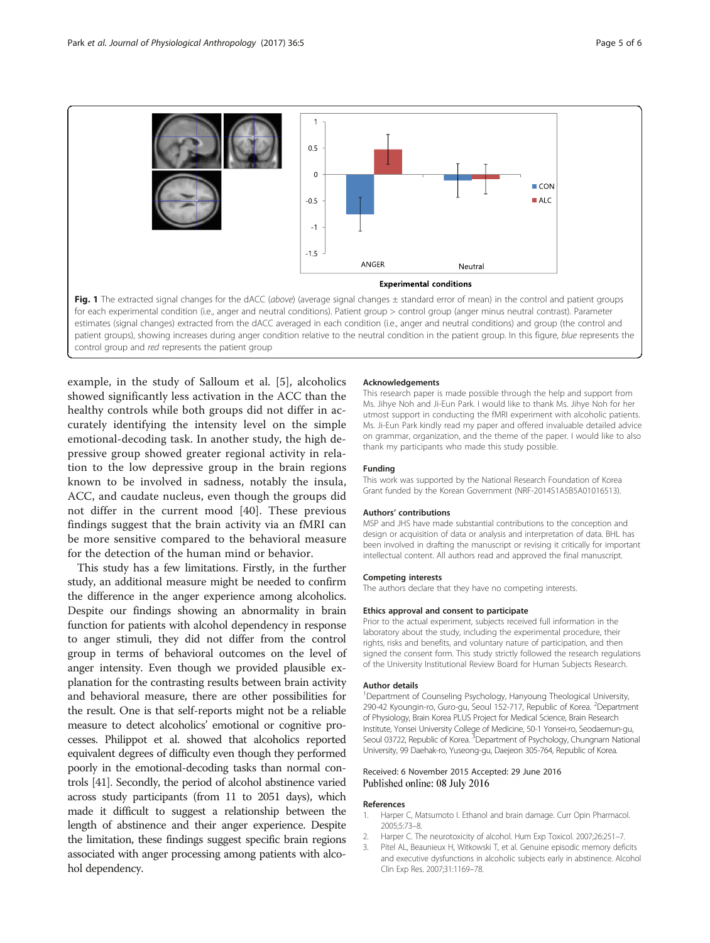<span id="page-4-0"></span>

control group and red represents the patient group

example, in the study of Salloum et al. [[5\]](#page-5-0), alcoholics showed significantly less activation in the ACC than the healthy controls while both groups did not differ in accurately identifying the intensity level on the simple emotional-decoding task. In another study, the high depressive group showed greater regional activity in relation to the low depressive group in the brain regions known to be involved in sadness, notably the insula, ACC, and caudate nucleus, even though the groups did not differ in the current mood [\[40](#page-5-0)]. These previous findings suggest that the brain activity via an fMRI can be more sensitive compared to the behavioral measure for the detection of the human mind or behavior.

This study has a few limitations. Firstly, in the further study, an additional measure might be needed to confirm the difference in the anger experience among alcoholics. Despite our findings showing an abnormality in brain function for patients with alcohol dependency in response to anger stimuli, they did not differ from the control group in terms of behavioral outcomes on the level of anger intensity. Even though we provided plausible explanation for the contrasting results between brain activity and behavioral measure, there are other possibilities for the result. One is that self-reports might not be a reliable measure to detect alcoholics' emotional or cognitive processes. Philippot et al. showed that alcoholics reported equivalent degrees of difficulty even though they performed poorly in the emotional-decoding tasks than normal controls [\[41](#page-5-0)]. Secondly, the period of alcohol abstinence varied across study participants (from 11 to 2051 days), which made it difficult to suggest a relationship between the length of abstinence and their anger experience. Despite the limitation, these findings suggest specific brain regions associated with anger processing among patients with alcohol dependency.

#### Acknowledgements

This research paper is made possible through the help and support from Ms. Jihye Noh and Ji-Eun Park. I would like to thank Ms. Jihye Noh for her utmost support in conducting the fMRI experiment with alcoholic patients. Ms. Ji-Eun Park kindly read my paper and offered invaluable detailed advice on grammar, organization, and the theme of the paper. I would like to also thank my participants who made this study possible.

#### Funding

This work was supported by the National Research Foundation of Korea Grant funded by the Korean Government (NRF-2014S1A5B5A01016513).

#### Authors' contributions

MSP and JHS have made substantial contributions to the conception and design or acquisition of data or analysis and interpretation of data. BHL has been involved in drafting the manuscript or revising it critically for important intellectual content. All authors read and approved the final manuscript.

#### Competing interests

The authors declare that they have no competing interests.

#### Ethics approval and consent to participate

Prior to the actual experiment, subjects received full information in the laboratory about the study, including the experimental procedure, their rights, risks and benefits, and voluntary nature of participation, and then signed the consent form. This study strictly followed the research regulations of the University Institutional Review Board for Human Subjects Research.

#### Author details

<sup>1</sup>Department of Counseling Psychology, Hanyoung Theological University, 290-42 Kyoungin-ro, Guro-gu, Seoul 152-717, Republic of Korea. <sup>2</sup>Department of Physiology, Brain Korea PLUS Project for Medical Science, Brain Research Institute, Yonsei University College of Medicine, 50-1 Yonsei-ro, Seodaemun-gu, Seoul 03722, Republic of Korea.<sup>3</sup> Department of Psychology, Chungnam National University, 99 Daehak-ro, Yuseong-gu, Daejeon 305-764, Republic of Korea.

#### Received: 6 November 2015 Accepted: 29 June 2016 Published online: 08 July 2016

## References

- 1. Harper C, Matsumoto I. Ethanol and brain damage. Curr Opin Pharmacol. 2005;5:73–8.
- 2. Harper C. The neurotoxicity of alcohol. Hum Exp Toxicol. 2007;26:251–7.
- 3. Pitel AL, Beaunieux H, Witkowski T, et al. Genuine episodic memory deficits and executive dysfunctions in alcoholic subjects early in abstinence. Alcohol Clin Exp Res. 2007;31:1169–78.